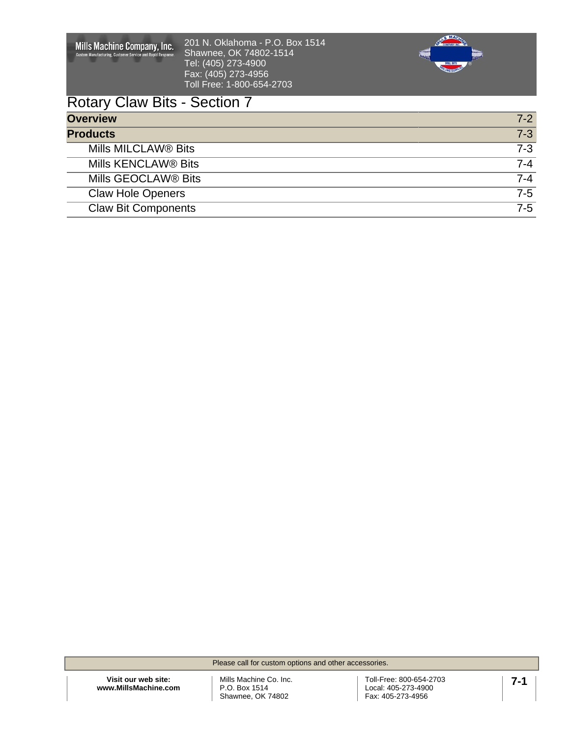| Mills Machine Company, Inc.<br><b>Custom Manufacturing, Customer Service and Rapid Response.</b> | 201 N. Oklahoma - P.O. Box 1514<br>Shawnee, OK 74802-1514<br>Tel: (405) 273-4900<br>Fax: (405) 273-4956<br>Toll Free: 1-800-654-2703 | Sma<br><b>DRILL BIR</b> |
|--------------------------------------------------------------------------------------------------|--------------------------------------------------------------------------------------------------------------------------------------|-------------------------|
| <b>Rotary Claw Bits - Section 7</b>                                                              |                                                                                                                                      |                         |
| <b>Overview</b>                                                                                  |                                                                                                                                      | $7 - 2$                 |
| <b>Products</b>                                                                                  |                                                                                                                                      | $7 - 3$                 |
| Mills MILCLAW <sup>®</sup> Bits                                                                  |                                                                                                                                      | $7 - 3$                 |
| Mills KENCLAW® Bits                                                                              |                                                                                                                                      | $7 - 4$                 |
| Mills GEOCLAW® Bits                                                                              |                                                                                                                                      | $7 - 4$                 |
| <b>Claw Hole Openers</b>                                                                         |                                                                                                                                      | $7 - 5$                 |
| <b>Claw Bit Components</b>                                                                       |                                                                                                                                      | $7-5$                   |

Please call for custom options and other accessories.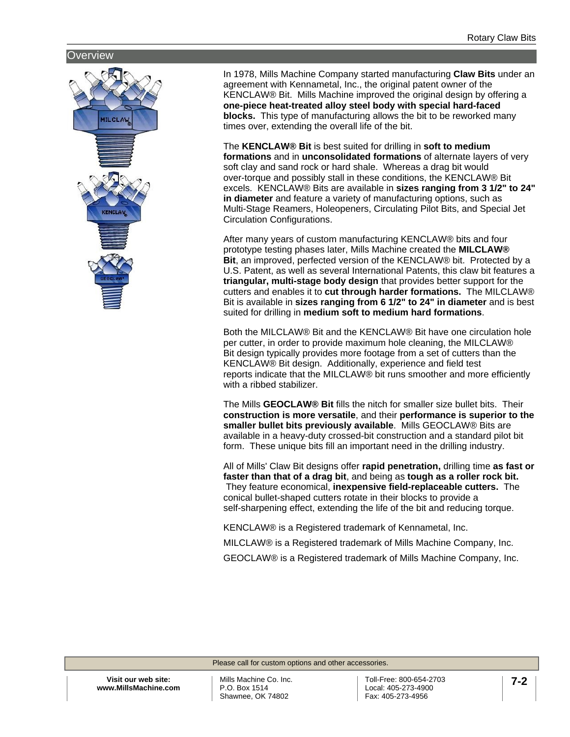### <span id="page-1-0"></span>**Overview**



In 1978, Mills Machine Company started manufacturing **Claw Bits** under an agreement with Kennametal, Inc., the original patent owner of the KENCLAW® Bit. Mills Machine improved the original design by offering a **one-piece heat-treated alloy steel body with special hard-faced blocks.** This type of manufacturing allows the bit to be reworked many times over, extending the overall life of the bit.

The **KENCLAW® Bit** is best suited for drilling in **soft to medium formations** and in **unconsolidated formations** of alternate layers of very soft clay and sand rock or hard shale. Whereas a drag bit would over-torque and possibly stall in these conditions, the KENCLAW® Bit excels. KENCLAW® Bits are available in **sizes ranging from 3 1/2" to 24" in diameter** and feature a variety of manufacturing options, such as Multi-Stage Reamers, Holeopeners, Circulating Pilot Bits, and Special Jet Circulation Configurations.

After many years of custom manufacturing KENCLAW® bits and four prototype testing phases later, Mills Machine created the **MILCLAW® Bit**, an improved, perfected version of the KENCLAW® bit. Protected by a U.S. Patent, as well as several International Patents, this claw bit features a **triangular, multi-stage body design** that provides better support for the cutters and enables it to **cut through harder formations.** The MILCLAW® Bit is available in **sizes ranging from 6 1/2" to 24" in diameter** and is best suited for drilling in **medium soft to medium hard formations**.

Both the MILCLAW® Bit and the KENCLAW® Bit have one circulation hole per cutter, in order to provide maximum hole cleaning, the MILCLAW® Bit design typically provides more footage from a set of cutters than the KENCLAW® Bit design. Additionally, experience and field test reports indicate that the MILCLAW® bit runs smoother and more efficiently with a ribbed stabilizer.

The Mills **GEOCLAW® Bit** fills the nitch for smaller size bullet bits. Their **construction is more versatile**, and their **performance is superior to the smaller bullet bits previously available**. Mills GEOCLAW® Bits are available in a heavy-duty crossed-bit construction and a standard pilot bit form. These unique bits fill an important need in the drilling industry.

All of Mills' Claw Bit designs offer **rapid penetration,** drilling time **as fast or faster than that of a drag bit**, and being as **tough as a roller rock bit.** They feature economical, **inexpensive field-replaceable cutters.** The conical bullet-shaped cutters rotate in their blocks to provide a self-sharpening effect, extending the life of the bit and reducing torque.

KENCLAW® is a Registered trademark of Kennametal, Inc.

MILCLAW® is a Registered trademark of Mills Machine Company, Inc.

GEOCLAW® is a Registered trademark of Mills Machine Company, Inc.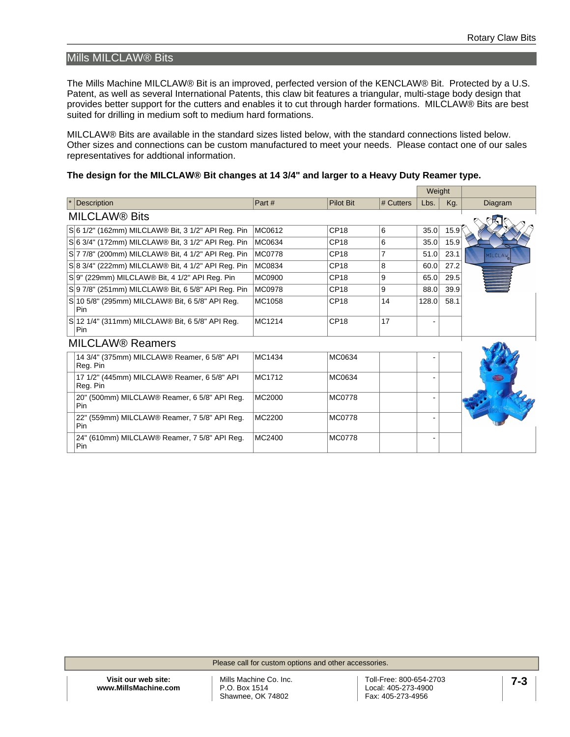# <span id="page-2-0"></span>Mills MILCLAW® Bits

The Mills Machine MILCLAW® Bit is an improved, perfected version of the KENCLAW® Bit. Protected by a U.S. Patent, as well as several International Patents, this claw bit features a triangular, multi-stage body design that provides better support for the cutters and enables it to cut through harder formations. MILCLAW® Bits are best suited for drilling in medium soft to medium hard formations.

MILCLAW® Bits are available in the standard sizes listed below, with the standard connections listed below. Other sizes and connections can be custom manufactured to meet your needs. Please contact one of our sales representatives for addtional information.

#### **The design for the MILCLAW® Bit changes at 14 3/4" and larger to a Heavy Duty Reamer type.**

|                                    |                                                               |        |                  |           | Weight                       |      |         |  |
|------------------------------------|---------------------------------------------------------------|--------|------------------|-----------|------------------------------|------|---------|--|
|                                    | <b>Description</b>                                            | Part#  | <b>Pilot Bit</b> | # Cutters | Lbs.                         | Kg.  | Diagram |  |
| <b>MILCLAW® Bits</b>               |                                                               |        |                  |           |                              |      |         |  |
|                                    | S 6 1/2" (162mm) MILCLAW® Bit, 3 1/2" API Reg. Pin            | MC0612 | CP <sub>18</sub> | 6         | 35.0                         | 15.9 |         |  |
|                                    | S 6 3/4" (172mm) MILCLAW® Bit, 3 1/2" API Reg. Pin            | MC0634 | CP18             | 6         | 35.0                         | 15.9 |         |  |
|                                    | S 7 7/8" (200mm) MILCLAW® Bit, 4 1/2" API Reg. Pin            | MC0778 | CP18             | 7         | 51.0                         | 23.1 | MILCLAW |  |
|                                    | S 8 3/4" (222mm) MILCLAW® Bit, 4 1/2" API Reg. Pin            | MC0834 | CP <sub>18</sub> | 8         | 60.0                         | 27.2 |         |  |
|                                    | S 9" (229mm) MILCLAW® Bit, 4 1/2" API Reg. Pin                | MC0900 | CP <sub>18</sub> | 9         | 65.0                         | 29.5 |         |  |
|                                    | S 9 7/8" (251mm) MILCLAW® Bit, 6 5/8" API Reg. Pin            | MC0978 | CP18             | 9         | 88.0                         | 39.9 |         |  |
|                                    | S 10 5/8" (295mm) MILCLAW® Bit, 6 5/8" API Reg.<br><b>Pin</b> | MC1058 | CP18             | 14        | 128.0                        | 58.1 |         |  |
|                                    | S 12 1/4" (311mm) MILCLAW® Bit, 6 5/8" API Reg.<br>Pin        | MC1214 | CP18             | 17        |                              |      |         |  |
| <b>MILCLAW<sup>®</sup> Reamers</b> |                                                               |        |                  |           |                              |      |         |  |
|                                    | 14 3/4" (375mm) MILCLAW® Reamer, 6 5/8" API<br>Reg. Pin       | MC1434 | MC0634           |           |                              |      |         |  |
|                                    | 17 1/2" (445mm) MILCLAW® Reamer, 6 5/8" API<br>Reg. Pin       | MC1712 | MC0634           |           |                              |      |         |  |
|                                    | 20" (500mm) MILCLAW® Reamer, 6 5/8" API Reg.<br>Pin           | MC2000 | <b>MC0778</b>    |           |                              |      |         |  |
|                                    | 22" (559mm) MILCLAW® Reamer, 7 5/8" API Reg.<br>Pin           | MC2200 | <b>MC0778</b>    |           | ۰                            |      |         |  |
|                                    | 24" (610mm) MILCLAW® Reamer, 7 5/8" API Reg.<br>Pin           | MC2400 | <b>MC0778</b>    |           | $\qquad \qquad \blacksquare$ |      |         |  |

Please call for custom options and other accessories.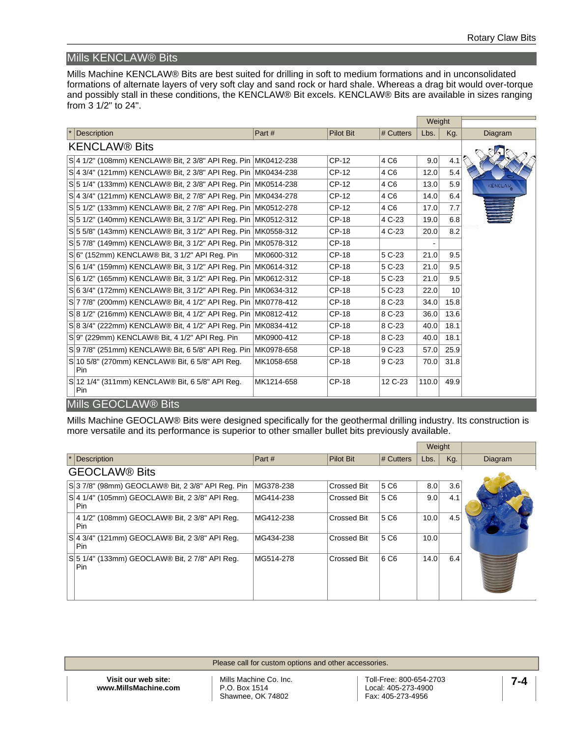# <span id="page-3-0"></span>Mills KENCLAW® Bits

Mills Machine KENCLAW® Bits are best suited for drilling in soft to medium formations and in unconsolidated formations of alternate layers of very soft clay and sand rock or hard shale. Whereas a drag bit would over-torque and possibly stall in these conditions, the KENCLAW® Bit excels. KENCLAW® Bits are available in sizes ranging from 3 1/2" to 24".

|                                                               |            |                  |                  | Weight |      |                |  |
|---------------------------------------------------------------|------------|------------------|------------------|--------|------|----------------|--|
| <b>Description</b>                                            | Part#      | <b>Pilot Bit</b> | # Cutters        | Lbs.   | Kg.  | Diagram        |  |
| <b>KENCLAW® Bits</b>                                          |            |                  |                  |        |      |                |  |
| S 4 1/2" (108mm) KENCLAW® Bit, 2 3/8" API Reg. Pin MK0412-238 |            | CP-12            | 4 C <sub>6</sub> | 9.0    | 4.1  |                |  |
| S 4 3/4" (121mm) KENCLAW® Bit. 2 3/8" API Rea. Pin MK0434-238 |            | CP-12            | 4 C <sub>6</sub> | 12.0   | 5.4  |                |  |
| S 5 1/4" (133mm) KENCLAW® Bit, 2 3/8" API Reg. Pin MK0514-238 |            | CP-12            | 4 C <sub>6</sub> | 13.0   | 5.9  | <b>KENCLAW</b> |  |
| S 4 3/4" (121mm) KENCLAW® Bit, 2 7/8" API Reg. Pin MK0434-278 |            | CP-12            | 4 C <sub>6</sub> | 14.0   | 6.4  |                |  |
| S 5 1/2" (133mm) KENCLAW® Bit, 2 7/8" API Reg. Pin MK0512-278 |            | CP-12            | 4 C6             | 17.0   | 7.7  |                |  |
| S 5 1/2" (140mm) KENCLAW® Bit, 3 1/2" API Reg. Pin MK0512-312 |            | CP-18            | 4 C-23           | 19.0   | 6.8  |                |  |
| S 5 5/8" (143mm) KENCLAW® Bit, 3 1/2" API Req. Pin MK0558-312 |            | CP-18            | 4 C-23           | 20.0   | 8.2  |                |  |
| S 5 7/8" (149mm) KENCLAW® Bit, 3 1/2" API Reg. Pin MK0578-312 |            | CP-18            |                  |        |      |                |  |
| S 6" (152mm) KENCLAW® Bit, 3 1/2" API Reg. Pin                | MK0600-312 | CP-18            | 5 C-23           | 21.0   | 9.5  |                |  |
| S 6 1/4" (159mm) KENCLAW® Bit, 3 1/2" API Reg. Pin MK0614-312 |            | CP-18            | 5 C-23           | 21.0   | 9.5  |                |  |
| S 6 1/2" (165mm) KENCLAW® Bit, 3 1/2" API Req. Pin MK0612-312 |            | CP-18            | 5 C-23           | 21.0   | 9.5  |                |  |
| S 6 3/4" (172mm) KENCLAW® Bit, 3 1/2" API Reg. Pin MK0634-312 |            | CP-18            | 5 C-23           | 22.0   | 10   |                |  |
| S 7 7/8" (200mm) KENCLAW® Bit, 4 1/2" API Reg. Pin MK0778-412 |            | CP-18            | 8 C-23           | 34.0   | 15.8 |                |  |
| S 8 1/2" (216mm) KENCLAW® Bit, 4 1/2" API Reg. Pin MK0812-412 |            | CP-18            | 8 C-23           | 36.0   | 13.6 |                |  |
| S 8 3/4" (222mm) KENCLAW® Bit, 4 1/2" API Req. Pin MK0834-412 |            | CP-18            | 8 C-23           | 40.0   | 18.1 |                |  |
| S 9" (229mm) KENCLAW® Bit. 4 1/2" API Rea. Pin                | MK0900-412 | <b>CP-18</b>     | 8 C-23           | 40.0   | 18.1 |                |  |
| S 9 7/8" (251mm) KENCLAW® Bit, 6 5/8" API Reg. Pin MK0978-658 |            | CP-18            | 9 C-23           | 57.0   | 25.9 |                |  |
| S 10 5/8" (270mm) KENCLAW® Bit, 6 5/8" API Reg.<br>Pin        | MK1058-658 | CP-18            | 9 C-23           | 70.0   | 31.8 |                |  |
| S 12 1/4" (311mm) KENCLAW® Bit, 6 5/8" API Reg.<br>Pin        | MK1214-658 | <b>CP-18</b>     | 12 C-23          | 110.0  | 49.9 |                |  |
| Mills GEOCLAW® Bits                                           |            |                  |                  |        |      |                |  |

<span id="page-3-1"></span>Mills Machine GEOCLAW® Bits were designed specifically for the geothermal drilling industry. Its construction is more versatile and its performance is superior to other smaller bullet bits previously available.

|                 |                                                       |           |                    |           | Weight |     |         |
|-----------------|-------------------------------------------------------|-----------|--------------------|-----------|--------|-----|---------|
| $\vert * \vert$ | <b>Description</b>                                    | Part #    | <b>Pilot Bit</b>   | # Cutters | Lbs.   | Kg. | Diagram |
|                 | <b>GEOCLAW® Bits</b>                                  |           |                    |           |        |     |         |
|                 | S 3 7/8" (98mm) GEOCLAW® Bit, 2 3/8" API Reg. Pin     | MG378-238 | <b>Crossed Bit</b> | 5 C6      | 8.0    | 3.6 |         |
|                 | S 4 1/4" (105mm) GEOCLAW® Bit, 2 3/8" API Reg.<br>Pin | MG414-238 | <b>Crossed Bit</b> | 5 C6      | 9.0    | 4.1 |         |
|                 | 4 1/2" (108mm) GEOCLAW® Bit, 2 3/8" API Req.<br>Pin   | MG412-238 | <b>Crossed Bit</b> | 5 C6      | 10.0   | 4.5 |         |
|                 | S 4 3/4" (121mm) GEOCLAW® Bit, 2 3/8" API Reg.<br>Pin | MG434-238 | <b>Crossed Bit</b> | 5 C6      | 10.0   |     |         |
|                 | S 5 1/4" (133mm) GEOCLAW® Bit, 2 7/8" API Reg.<br>Pin | MG514-278 | <b>Crossed Bit</b> | 6 C6      | 14.0   | 6.4 |         |